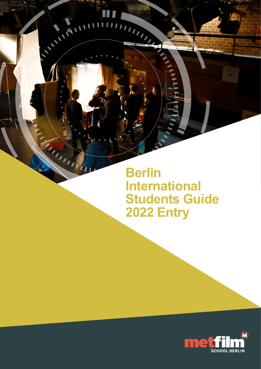**Berlin International Students Guide 2022 Entry**

m

 $\blacksquare$ 

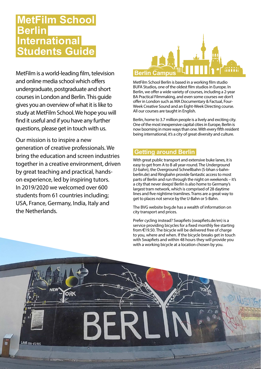# **MetFilm School Berlin International Students Guide**

MetFilm is a world-leading film, television and online media school which offers undergraduate, postgraduate and short courses in London and Berlin. This guide gives you an overview of what it is like to study at MetFilm School. We hope you will find it useful and if you have any further questions, please get in touch with us.

Our mission is to inspire a new generation of creative professionals. We bring the education and screen industries together in a creative environment, driven by great teaching and practical, handson experience, led by inspiring tutors. In 2019/2020 we welcomed over 600 students from 61 countries including; USA, France, Germany, India, Italy and the Netherlands.

ORK

LAHR 030-6721815



MetFilm School Berlin is based in a working film studio BUFA Studios, one of the oldest film studios in Europe. In Berlin, we offer a wide variety of courses, including a 2-year BA Practical Filmmaking, and even some courses we don't offer in London such as MA Documentary & Factual, Four-Week Creative Sound and an Eight-Week Directing course. All our courses are taught in English.

Berlin, home to 3.7 million people is a lively and exciting city. One of the most inexpensive capital cities in Europe, Berlin is now booming in more ways than one. With every fifth resident being international, it's a city of great diversity and culture.

# **Getting around Berlin**

With great public transport and extensive buke lanes, it is easy to get from A to B all year-round. The Underground (U-bahn), the Overground Schnellbahn (S-bhan s-bahnberlin.de) and Ringbahn provide fantastic access to most parts of Berlin and run through the night on weekends – it's a city that never sleeps! Berlin is also home to Germany's largest tram network, which is comprised of 28 daytime lines and five nightime tramlines. Trams are a great way to get to places not servce by the U-Bahn or S-Bahn.

The BVG website [bvg.de](https://www.bvg.de/en) has a wealth of information on city transport and prices.

Prefer cycling instead? Swapfiets (swapfiets.de/en) is a service providing bicycles for a fixed monthly fee starting from €19.50. The bicycle will be delivered free of charge to you, where and when. If the bicycle breaks get in touch with Swapfiets and within 48 hours they will provide you with a working bicycle at a location chosen by you.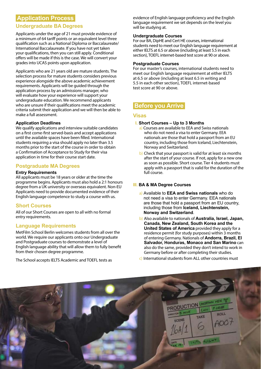# **Application Process**

## **Undergraduate BA Degrees**

Applicants under the age of 21 must provide evidence of a minimum of 64 tariff points or an equivalent level three qualification such as a National Diploma or Baccalaureate/ International Baccalaureate. If you have not yet taken your qualifications, then you can still apply. Conditional offers will be made if this is the case. We will convert your grades into UCAS points upon application.

Applicants who are 21 years old are mature students. The selection process for mature students considers previous experience alongside the above academic achievement requirements. Applicants will be guided through the application process by an admissions manager, who will evaluate how your experience will support your undergraduate education. We recommend applicants who are unsure if their qualifications meet the academic criteria submit their application and we will then be able to make a full assessment.

#### **Application Deadlines**

We qualify applications and interview suitable candidates on a first come-first served-basis and accept applications until the available spaces have been filled. International students requiring a visa should apply no later than 3.5 months prior to the start of the course in order to obtain a Confirmation of Acceptance to Study for their visa application in time for their course start date.

## **Postgraduate MA Degrees**

#### **Entry Requirements**

All applicants must be 18 years or older at the time the programme begins. Applicants must also hold a 2:1 honours degree from a UK university or overseas equivalent. Non-EU Applicants need to provide documented evidence of their English language competence to study a course with us.

## **Short Courses**

All of our Short Courses are open to all with no formal entry requirements.

## **Language Requirements**

MetFilm School Berlin welcomes students from all over the world. We require our applicants onto our Undergraduate and Postgraduate courses to demonstrate a level of English language ability that will allow them to fully benefit from their chosen degree programme.

The School accepts IELTS Academic and TOEFL tests as

evidence of English language proficiency and the English language requirement we set depends on the level you will be studying at.

#### **Undergraduate Courses**

For our BA, DipHE and Cert HE courses, international students need to meet our English language requirement at either IELTS at 6.5 or above (including at least 5.5 in each section), TOEFL internet-based test score at 90 or above.

#### **Postgraduate Courses**

For our master's courses, international students need to meet our English language requirement at either IELTS at 6.5 or above (including at least 6.5 in writing and 5.5 in each other section), TOEFL internet-based test score at 90 or above.

## **Before you Arrive**

#### **Visas**

#### **I. Short Courses – Up to 3 Months**

- a) Courses are available to EEA and Swiss nationals who do not need a visa to enter Germany. EEA nationals are those that hold a passport from an EU country, including those from Iceland, Liechtenstein, Norway and Switzerland.
- b) Check that your passport is valid for at least six months after the start of your course. If not, apply for a new one as soon as possible. Short course. Tier 4 students must apply with a passport that is valid for the duration of the full course.

### **III. BA & MA Degree Courses**

- a) Available to **EEA and Swiss nationals** who do not need a visa to enter Germany. EEA nationals are those that hold a passport from an EU country, including those from **Iceland, Liechtenstein, Norway and Switzerland**.
- b) Also available to nationals of **Australia, Israel, Japan, Canada, New Zealand, South Korea and the United States of America** provided they apply for a residence permit (for study purposes) within 3 months of entering Germany. Nationals of **Andorra, Brazil, El Salvador, Honduras, Monaco and San Marino** can also do the same, provided they don't intend to work in Germany before or after completing their studies.
- c) International students from ALL other countries must